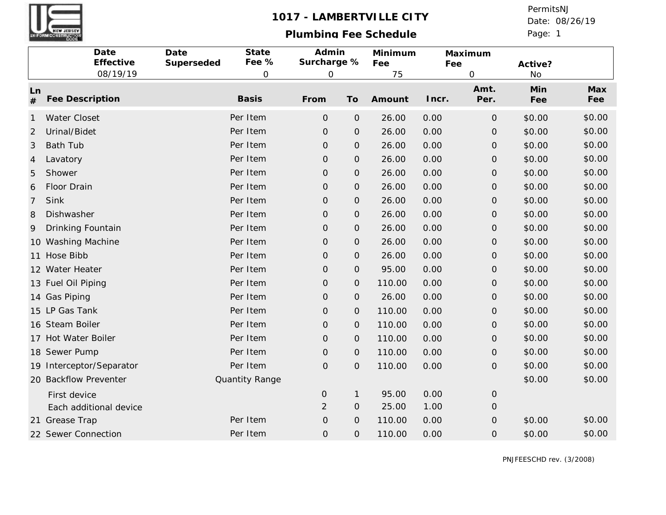

## 1017 - LAMBERTVILLE CITY

## **Plumbing Fee Schedule**

Page: 1 Date: 08/26/19 PermitsNJ

|            | Date<br>Effective        | Date<br>Superseded | State<br>Fee % | Admin<br>Surcharge % |                     | Minimum<br>Fee | Maximum<br>Fee |                     | Active?    |            |
|------------|--------------------------|--------------------|----------------|----------------------|---------------------|----------------|----------------|---------------------|------------|------------|
|            | 08/19/19                 |                    | $\mathsf O$    | $\mathbf 0$          |                     | 75             |                | $\mathsf{O}\xspace$ | <b>No</b>  |            |
| Ln<br>$\#$ | Fee Description          |                    | <b>Basis</b>   | From                 | To                  | Amount         | Incr.          | Amt.<br>Per.        | Min<br>Fee | Max<br>Fee |
| -1         | Water Closet             |                    | Per Item       | $\overline{O}$       | $\mathbf{O}$        | 26.00          | 0.00           | $\mathcal{O}$       | \$0.00     | \$0.00     |
| 2          | Urinal/Bidet             |                    | Per Item       | $\mathsf{O}\xspace$  | $\mathbf{O}$        | 26.00          | 0.00           | $\mathbf{O}$        | \$0.00     | \$0.00     |
| 3          | <b>Bath Tub</b>          |                    | Per Item       | $\mathsf{O}\xspace$  | O                   | 26.00          | 0.00           | $\mathcal{O}$       | \$0.00     | \$0.00     |
| 4          | Lavatory                 |                    | Per Item       | $\mathbf{O}$         | O                   | 26.00          | 0.00           | $\mathcal{O}$       | \$0.00     | \$0.00     |
| 5          | Shower                   |                    | Per Item       | $\mathsf{O}\xspace$  | $\mathcal{O}$       | 26.00          | 0.00           | $\mathcal{O}$       | \$0.00     | \$0.00     |
| 6          | Floor Drain              |                    | Per Item       | $\mathsf{O}\xspace$  | $\mathsf{O}\xspace$ | 26.00          | 0.00           | $\mathcal{O}$       | \$0.00     | \$0.00     |
| 7          | Sink                     |                    | Per Item       | $\mathsf{O}\xspace$  | $\mathsf{O}\xspace$ | 26.00          | 0.00           | $\mathcal{O}$       | \$0.00     | \$0.00     |
| 8          | Dishwasher               |                    | Per Item       | $\mathsf O$          | $\mathsf{O}\xspace$ | 26.00          | 0.00           | $\mathsf O$         | \$0.00     | \$0.00     |
| 9          | Drinking Fountain        |                    | Per Item       | $\mathsf{O}\xspace$  | $\mathcal{O}$       | 26.00          | 0.00           | $\mathcal{O}$       | \$0.00     | \$0.00     |
|            | 10 Washing Machine       |                    | Per Item       | $\mathbf 0$          | $\mathcal{O}$       | 26.00          | 0.00           | $\mathcal{O}$       | \$0.00     | \$0.00     |
| 11         | Hose Bibb                |                    | Per Item       | $\mathsf O$          | 0                   | 26.00          | 0.00           | $\mathsf O$         | \$0.00     | \$0.00     |
|            | 12 Water Heater          |                    | Per Item       | $\mathsf{O}\xspace$  | $\mathbf{O}$        | 95.00          | 0.00           | $\mathcal{O}$       | \$0.00     | \$0.00     |
|            | 13 Fuel Oil Piping       |                    | Per Item       | $\mathsf{O}\xspace$  | $\mathbf 0$         | 110.00         | 0.00           | $\mathcal{O}$       | \$0.00     | \$0.00     |
|            | 14 Gas Piping            |                    | Per Item       | $\mathsf{O}\xspace$  | O                   | 26.00          | 0.00           | $\mathcal{O}$       | \$0.00     | \$0.00     |
|            | 15 LP Gas Tank           |                    | Per Item       | $\mathsf{O}\xspace$  | $\mathcal{O}$       | 110.00         | 0.00           | $\mathcal{O}$       | \$0.00     | \$0.00     |
|            | 16 Steam Boiler          |                    | Per Item       | $\mathsf{O}\xspace$  | $\mathcal{O}$       | 110.00         | 0.00           | $\mathcal{O}$       | \$0.00     | \$0.00     |
| 17         | <b>Hot Water Boiler</b>  |                    | Per Item       | $\mathsf{O}\xspace$  | $\mathsf{O}\xspace$ | 110.00         | 0.00           | $\mathcal{O}$       | \$0.00     | \$0.00     |
|            | 18 Sewer Pump            |                    | Per Item       | $\mathsf O$          | $\mathcal{O}$       | 110.00         | 0.00           | $\mathsf O$         | \$0.00     | \$0.00     |
|            | 19 Interceptor/Separator |                    | Per Item       | $\mathbf 0$          | $\overline{O}$      | 110.00         | 0.00           | $\mathcal{O}$       | \$0.00     | \$0.00     |
|            | 20 Backflow Preventer    |                    | Quantity Range |                      |                     |                |                |                     | \$0.00     | \$0.00     |
|            | First device             |                    |                | $\mathbf{O}$         | $\mathbf{1}$        | 95.00          | 0.00           | $\mathbf{O}$        |            |            |
|            | Each additional device   |                    |                | $\overline{2}$       | $\mathbf{O}$        | 25.00          | 1.00           | $\mathcal{O}$       |            |            |
|            | 21 Grease Trap           |                    | Per Item       | $\mathsf{O}\xspace$  | $\mathbf 0$         | 110.00         | 0.00           | $\mathcal{O}$       | \$0.00     | \$0.00     |
|            | 22 Sewer Connection      |                    | Per Item       | $\mathsf{O}\xspace$  | $\mathsf{O}\xspace$ | 110.00         | 0.00           | $\mathcal{O}$       | \$0.00     | \$0.00     |

PNJFEESCHD rev. (3/2008)